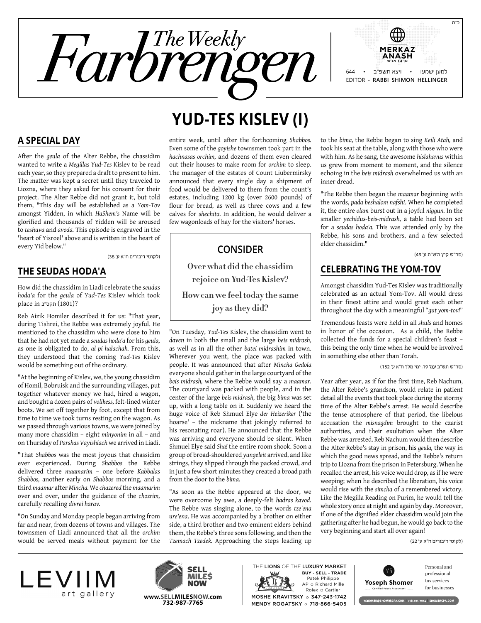

#### **A Special Day**

After the *geula* of the Alter Rebbe, the chassidim wanted to write a *Megillas Yud-Tes* Kislev to be read each year, so they prepared a draft to present to him. The matter was kept a secret until they traveled to Liozna, where they asked for his consent for their project. The Alter Rebbe did not grant it, but told them, "This day will be established as a *Yom-Tov* amongst Yidden, in which *HaShem's* Name will be glorified and thousands of Yidden will be aroused to *teshuva* and *avoda.* This episode is engraved in the 'heart of Yisroel' above and is written in the heart of every Yid below."

)לקוטי דיבורים ח"א ע' 38(

#### **The Seudas Hoda'a**

How did the chassidim in Liadi celebrate the *seudas hoda'a* for the *geula* of *Yud-Tes* Kislev which took place in תקס"ב place in

Reb Aizik Homiler described it for us: "That year, during Tishrei, the Rebbe was extremely joyful. He mentioned to the chassidim who were close to him that he had not yet made a *seudas hoda'a* for his *geula,* as one is obligated to do, *al pi halachah.* From this, they understood that the coming *Yud-Tes* Kislev would be something out of the ordinary.

"At the beginning of Kislev, we, the young chassidim of Homil, Bobruisk and the surrounding villages, put together whatever money we had, hired a wagon, and bought a dozen pairs of *volikess,* felt-lined winter boots. We set off together by foot, except that from time to time we took turns resting on the wagon. As we passed through various towns, we were joined by many more chassidim – eight *minyonim* in all – and on Thursday of *Parshas Vayishlach* we arrived in Liadi.

"That *Shabbos* was the most joyous that chassidim ever experienced. During *Shabbos* the Rebbe delivered three *maamarim* – one before *Kabbalas Shabbos,* another early on *Shabbos* morning, and a third *maamar* after *Mincha.* We *chazered* the *maamarim* over and over, under the guidance of the *chozrim,* carefully recalling *divrei harav.*

"On Sunday and Monday people began arriving from far and near, from dozens of towns and villages. The townsmen of Liadi announced that all the *orchim* would be served meals without payment for the

# **Yud-Tes Kislev (I)**

entire week, until after the forthcoming *Shabbos.* Even some of the *goyishe* townsmen took part in the *hachnasas orchim,* and dozens of them even cleared out their houses to make room for *orchim* to sleep. The manager of the estates of Count Liubermirsky announced that every single day a shipment of food would be delivered to them from the count's estates, including 1200 kg (over 2600 pounds) of flour for bread, as well as three cows and a few calves for *shechita.* In addition, he would deliver a few wagonloads of hay for the visitors' horses.

### **Consider**

**Over what did the chassidim rejoice on Yud-Tes Kislev? How can we feel today the same joy as they did?**

"On Tuesday, *Yud-Tes* Kislev, the chassidim went to *daven* in both the small and the large *beis midrash,* as well as in all the other *batei midrashim* in town. Wherever you went, the place was packed with people. It was announced that after *Mincha Gedola* everyone should gather in the large courtyard of the *beis midrash,* where the Rebbe would say a *maamar.* The courtyard was packed with people, and in the center of the large *beis midrash,* the big *bima* was set up, with a long table on it. Suddenly we heard the huge voice of Reb Shmuel Elye *der Heizeriker* ('the hoarse' – the nickname that jokingly referred to his resonating roar). He announced that the Rebbe was arriving and everyone should be silent. When Shmuel Elye said *Sha!* the entire room shook. Soon a group of broad-shouldered *yungeleit* arrived, and like strings, they slipped through the packed crowd, and in just a few short minutes they created a broad path from the door to the *bima.*

"As soon as the Rebbe appeared at the door, we were overcome by awe, a deeply-felt *hadras kavod.* The Rebbe was singing alone, to the words *tze'ena ure'ena*. He was accompanied by a brother on either side, a third brother and two eminent elders behind them, the Rebbe's three sons following, and then the *Tzemach Tzedek.* Approaching the steps leading up

to the *bima,* the Rebbe began to sing *Keili Atah,* and took his seat at the table, along with those who were with him. As he sang, the awesome *hislahavus* within us grew from moment to moment, and the silence echoing in the *beis midrash* overwhelmed us with an inner dread.

"The Rebbe then began the *maamar* beginning with the words, *pada beshalom nafshi*. When he completed it, the entire *olam* burst out in a joyful *niggun.* In the smaller *yechidus-beis-midrash,* a table had been set for a *seudas hoda'a.* This was attended only by the Rebbe, his sons and brothers, and a few selected elder chassidim."

)סה"ש קיץ ה'ש"ת ע' 49(

### **Celebrating the Yom-Tov**

Amongst chassidim Yud-Tes Kislev was traditionally celebrated as an actual Yom-Tov. All would dress in their finest attire and would greet each other throughout the day with a meaningful "*gut yom-tov!*"

Tremendous feasts were held in all *shuls* and homes in honor of the occasion. As a child, the Rebbe collected the funds for a special children's feast – this being the only time when he would be involved in something else other than Torah.

)סה"ש תש"ב עמ' ,19 ימי מלך ח"א ע' 152(

Year after year, as if for the first time, Reb Nachum, the Alter Rebbe's grandson, would relate in patient detail all the events that took place during the stormy time of the Alter Rebbe's arrest. He would describe the tense atmosphere of that period, the libelous accusation the *misnagdim* brought to the czarist authorities, and their exultation when the Alter Rebbe was arrested. Reb Nachum would then describe the Alter Rebbe's stay in prison, his *geula,* the way in which the good news spread, and the Rebbe's return trip to Liozna from the prison in Petersburg. When he recalled the arrest, his voice would drop, as if he were weeping; when he described the liberation, his voice would rise with the *simcha* of a remembered victory. Like the Megilla Reading on Purim, he would tell the whole story once at night and again by day. Moreover, if one of the dignified elder chassidim would join the gathering after he had begun, he would go back to the very beginning and start all over again!

)לקוטי דיבורים ח"א ע' 22(